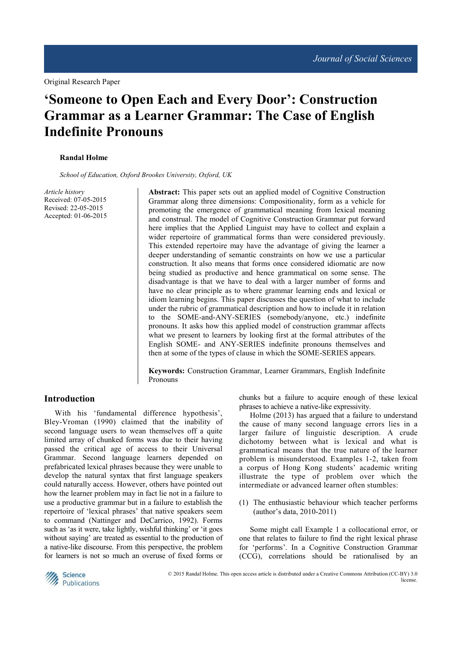# **'Someone to Open Each and Every Door': Construction Grammar as a Learner Grammar: The Case of English Indefinite Pronouns**

#### **Randal Holme**

*School of Education, Oxford Brookes University, Oxford, UK* 

*Article history*  Received: 07-05-2015 Revised: 22-05-2015 Accepted: 01-06-2015

**Abstract:** This paper sets out an applied model of Cognitive Construction Grammar along three dimensions: Compositionality, form as a vehicle for promoting the emergence of grammatical meaning from lexical meaning and construal. The model of Cognitive Construction Grammar put forward here implies that the Applied Linguist may have to collect and explain a wider repertoire of grammatical forms than were considered previously. This extended repertoire may have the advantage of giving the learner a deeper understanding of semantic constraints on how we use a particular construction. It also means that forms once considered idiomatic are now being studied as productive and hence grammatical on some sense. The disadvantage is that we have to deal with a larger number of forms and have no clear principle as to where grammar learning ends and lexical or idiom learning begins. This paper discusses the question of what to include under the rubric of grammatical description and how to include it in relation to the SOME-and-ANY-SERIES (somebody/anyone, etc.) indefinite pronouns. It asks how this applied model of construction grammar affects what we present to learners by looking first at the formal attributes of the English SOME- and ANY-SERIES indefinite pronouns themselves and then at some of the types of clause in which the SOME-SERIES appears.

**Keywords:** Construction Grammar, Learner Grammars, English Indefinite Pronouns

#### **Introduction**

With his 'fundamental difference hypothesis', Bley-Vroman (1990) claimed that the inability of second language users to wean themselves off a quite limited array of chunked forms was due to their having passed the critical age of access to their Universal Grammar. Second language learners depended on prefabricated lexical phrases because they were unable to develop the natural syntax that first language speakers could naturally access. However, others have pointed out how the learner problem may in fact lie not in a failure to use a productive grammar but in a failure to establish the repertoire of 'lexical phrases' that native speakers seem to command (Nattinger and DeCarrico, 1992). Forms such as 'as it were, take lightly, wishful thinking' or 'it goes without saying' are treated as essential to the production of a native-like discourse. From this perspective, the problem for learners is not so much an overuse of fixed forms or

chunks but a failure to acquire enough of these lexical phrases to achieve a native-like expressivity.

Holme (2013) has argued that a failure to understand the cause of many second language errors lies in a larger failure of linguistic description. A crude dichotomy between what is lexical and what is grammatical means that the true nature of the learner problem is misunderstood. Examples 1-2, taken from a corpus of Hong Kong students' academic writing illustrate the type of problem over which the intermediate or advanced learner often stumbles:

(1) The enthusiastic behaviour which teacher performs (author's data, 2010-2011)

Some might call Example 1 a collocational error, or one that relates to failure to find the right lexical phrase for 'performs'. In a Cognitive Construction Grammar (CCG), correlations should be rationalised by an

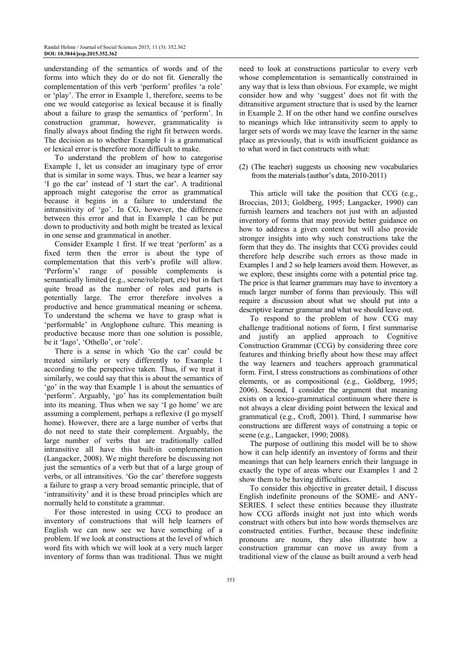understanding of the semantics of words and of the forms into which they do or do not fit. Generally the complementation of this verb 'perform' profiles 'a role' or 'play'. The error in Example 1, therefore, seems to be one we would categorise as lexical because it is finally about a failure to grasp the semantics of 'perform'. In construction grammar, however, grammaticality is finally always about finding the right fit between words. The decision as to whether Example 1 is a grammatical or lexical error is therefore more difficult to make.

To understand the problem of how to categorise Example 1, let us consider an imaginary type of error that is similar in some ways. Thus, we hear a learner say 'I go the car' instead of 'I start the car'. A traditional approach might categorise the error as grammatical because it begins in a failure to understand the intransitivity of 'go'. In CG, however, the difference between this error and that in Example 1 can be put down to productivity and both might be treated as lexical in one sense and grammatical in another.

Consider Example 1 first. If we treat 'perform' as a fixed term then the error is about the type of complementation that this verb's profile will allow. 'Perform's' range of possible complements is semantically limited (e.g., scene/role/part, etc) but in fact quite broad as the number of roles and parts is potentially large. The error therefore involves a productive and hence grammatical meaning or schema. To understand the schema we have to grasp what is 'performable' in Anglophone culture. This meaning is productive because more than one solution is possible, be it 'Iago', 'Othello', or 'role'.

There is a sense in which 'Go the car' could be treated similarly or very differently to Example 1 according to the perspective taken. Thus, if we treat it similarly, we could say that this is about the semantics of 'go' in the way that Example 1 is about the semantics of 'perform'. Arguably, 'go' has its complementation built into its meaning. Thus when we say 'I go home' we are assuming a complement, perhaps a reflexive (I go myself home). However, there are a large number of verbs that do not need to state their complement. Arguably, the large number of verbs that are traditionally called intransitive all have this built-in complementation (Langacker, 2008). We might therefore be discussing not just the semantics of a verb but that of a large group of verbs, or all intransitives. 'Go the car' therefore suggests a failure to grasp a very broad semantic principle, that of 'intransitivity' and it is these broad principles which are normally held to constitute a grammar.

For those interested in using CCG to produce an inventory of constructions that will help learners of English we can now see we have something of a problem. If we look at constructions at the level of which word fits with which we will look at a very much larger inventory of forms than was traditional. Thus we might need to look at constructions particular to every verb whose complementation is semantically constrained in any way that is less than obvious. For example, we might consider how and why 'suggest' does not fit with the ditransitive argument structure that is used by the learner in Example 2. If on the other hand we confine ourselves to meanings which like intransitivity seem to apply to larger sets of words we may leave the learner in the same place as previously, that is with insufficient guidance as to what word in fact constructs with what:

(2) (The teacher) suggests us choosing new vocabularies from the materials (author's data, 2010-2011)

This article will take the position that CCG (e.g., Broccias, 2013; Goldberg, 1995; Langacker, 1990) can furnish learners and teachers not just with an adjusted inventory of forms that may provide better guidance on how to address a given context but will also provide stronger insights into why such constructions take the form that they do. The insights that CCG provides could therefore help describe such errors as those made in Examples 1 and 2 so help learners avoid them. However, as we explore, these insights come with a potential price tag. The price is that learner grammars may have to inventory a much larger number of forms than previously. This will require a discussion about what we should put into a descriptive learner grammar and what we should leave out.

To respond to the problem of how CCG may challenge traditional notions of form, I first summarise and justify an applied approach to Cognitive Construction Grammar (CCG) by considering three core features and thinking briefly about how these may affect the way learners and teachers approach grammatical form. First, I stress constructions as combinations of other elements, or as compositional (e.g., Goldberg, 1995; 2006). Second, I consider the argument that meaning exists on a lexico-grammatical continuum where there is not always a clear dividing point between the lexical and grammatical (e.g., Croft, 2001). Third, I summarise how constructions are different ways of construing a topic or scene (e.g., Langacker, 1990; 2008).

The purpose of outlining this model will be to show how it can help identify an inventory of forms and their meanings that can help learners enrich their language in exactly the type of areas where our Examples 1 and 2 show them to be having difficulties.

To consider this objective in greater detail, I discuss English indefinite pronouns of the SOME- and ANY-SERIES. I select these entities because they illustrate how CCG affords insight not just into which words construct with others but into how words themselves are constructed entities. Further, because these indefinite pronouns are nouns, they also illustrate how a construction grammar can move us away from a traditional view of the clause as built around a verb head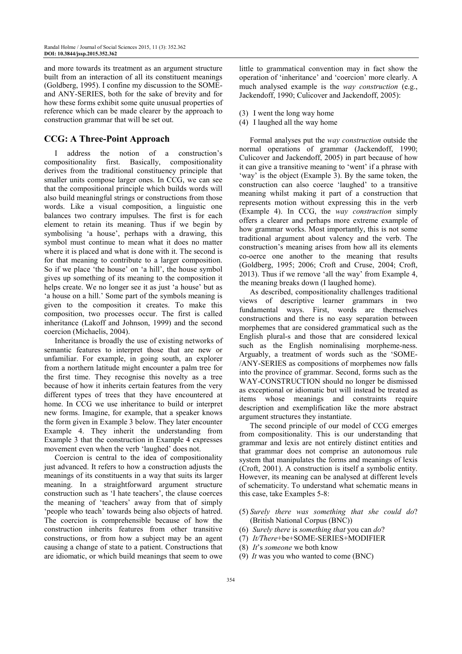and more towards its treatment as an argument structure built from an interaction of all its constituent meanings (Goldberg, 1995). I confine my discussion to the SOMEand ANY-SERIES, both for the sake of brevity and for how these forms exhibit some quite unusual properties of reference which can be made clearer by the approach to construction grammar that will be set out.

## **CCG: A Three-Point Approach**

address the notion of a construction's compositionality first. Basically, compositionality derives from the traditional constituency principle that smaller units compose larger ones. In CCG, we can see that the compositional principle which builds words will also build meaningful strings or constructions from those words. Like a visual composition, a linguistic one balances two contrary impulses. The first is for each element to retain its meaning. Thus if we begin by symbolising 'a house', perhaps with a drawing, this symbol must continue to mean what it does no matter where it is placed and what is done with it. The second is for that meaning to contribute to a larger composition. So if we place 'the house' on 'a hill', the house symbol gives up something of its meaning to the composition it helps create. We no longer see it as just 'a house' but as 'a house on a hill.' Some part of the symbols meaning is given to the composition it creates. To make this composition, two processes occur. The first is called inheritance (Lakoff and Johnson, 1999) and the second coercion (Michaelis, 2004).

Inheritance is broadly the use of existing networks of semantic features to interpret those that are new or unfamiliar. For example, in going south, an explorer from a northern latitude might encounter a palm tree for the first time. They recognise this novelty as a tree because of how it inherits certain features from the very different types of trees that they have encountered at home. In CCG we use inheritance to build or interpret new forms. Imagine, for example, that a speaker knows the form given in Example 3 below. They later encounter Example 4. They inherit the understanding from Example 3 that the construction in Example 4 expresses movement even when the verb 'laughed' does not.

Coercion is central to the idea of compositionality just advanced. It refers to how a construction adjusts the meanings of its constituents in a way that suits its larger meaning. In a straightforward argument structure construction such as 'I hate teachers', the clause coerces the meaning of 'teachers' away from that of simply 'people who teach' towards being also objects of hatred. The coercion is comprehensible because of how the construction inherits features from other transitive constructions, or from how a subject may be an agent causing a change of state to a patient. Constructions that are idiomatic, or which build meanings that seem to owe little to grammatical convention may in fact show the operation of 'inheritance' and 'coercion' more clearly. A much analysed example is the *way construction* (e.g., Jackendoff, 1990; Culicover and Jackendoff, 2005):

- (3) I went the long way home
- (4) I laughed all the way home

Formal analyses put the *way construction* outside the normal operations of grammar (Jackendoff, 1990; Culicover and Jackendoff, 2005) in part because of how it can give a transitive meaning to 'went' if a phrase with 'way' is the object (Example 3). By the same token, the construction can also coerce 'laughed' to a transitive meaning whilst making it part of a construction that represents motion without expressing this in the verb (Example 4). In CCG, the *way construction* simply offers a clearer and perhaps more extreme example of how grammar works. Most importantly, this is not some traditional argument about valency and the verb. The construction's meaning arises from how all its elements co-oerce one another to the meaning that results (Goldberg, 1995; 2006; Croft and Cruse, 2004; Croft, 2013). Thus if we remove 'all the way' from Example 4, the meaning breaks down (I laughed home).

As described, compositionality challenges traditional views of descriptive learner grammars in two fundamental ways. First, words are themselves constructions and there is no easy separation between morphemes that are considered grammatical such as the English plural-s and those that are considered lexical such as the English nominalising morpheme-ness. Arguably, a treatment of words such as the 'SOME- /ANY-SERIES as compositions of morphemes now falls into the province of grammar. Second, forms such as the WAY-CONSTRUCTION should no longer be dismissed as exceptional or idiomatic but will instead be treated as items whose meanings and constraints require description and exemplification like the more abstract argument structures they instantiate.

The second principle of our model of CCG emerges from compositionality. This is our understanding that grammar and lexis are not entirely distinct entities and that grammar does not comprise an autonomous rule system that manipulates the forms and meanings of lexis (Croft, 2001). A construction is itself a symbolic entity. However, its meaning can be analysed at different levels of schematicity. To understand what schematic means in this case, take Examples 5-8:

- (5) *Surely there was something that she could do*? (British National Corpus (BNC))
- (6) *Surely there* is *something that* you can *do*?
- (7) *It/There*+be+SOME-SERIES+MODIFIER
- (8) *It*'s *someone* we both know
- (9) *It* was you who wanted to come (BNC)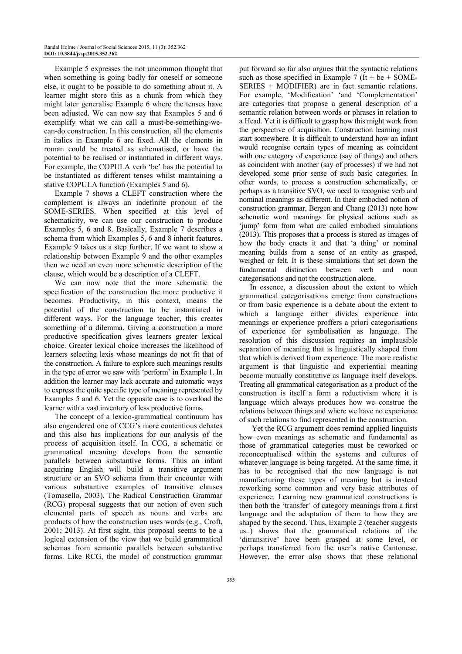Example 5 expresses the not uncommon thought that when something is going badly for oneself or someone else, it ought to be possible to do something about it. A learner might store this as a chunk from which they might later generalise Example 6 where the tenses have been adjusted. We can now say that Examples 5 and 6 exemplify what we can call a must-be-something-wecan-do construction. In this construction, all the elements in italics in Example 6 are fixed. All the elements in roman could be treated as schematised, or have the potential to be realised or instantiated in different ways. For example, the COPULA verb 'be' has the potential to be instantiated as different tenses whilst maintaining a stative COPULA function (Examples 5 and 6).

Example 7 shows a CLEFT construction where the complement is always an indefinite pronoun of the SOME-SERIES. When specified at this level of schematicity, we can use our construction to produce Examples 5, 6 and 8. Basically, Example 7 describes a schema from which Examples 5, 6 and 8 inherit features. Example 9 takes us a step further. If we want to show a relationship between Example 9 and the other examples then we need an even more schematic description of the clause, which would be a description of a CLEFT.

We can now note that the more schematic the specification of the construction the more productive it becomes. Productivity, in this context, means the potential of the construction to be instantiated in different ways. For the language teacher, this creates something of a dilemma. Giving a construction a more productive specification gives learners greater lexical choice. Greater lexical choice increases the likelihood of learners selecting lexis whose meanings do not fit that of the construction. A failure to explore such meanings results in the type of error we saw with 'perform' in Example 1. In addition the learner may lack accurate and automatic ways to express the quite specific type of meaning represented by Examples 5 and 6. Yet the opposite case is to overload the learner with a vast inventory of less productive forms.

The concept of a lexico-grammatical continuum has also engendered one of CCG's more contentious debates and this also has implications for our analysis of the process of acquisition itself. In CCG, a schematic or grammatical meaning develops from the semantic parallels between substantive forms. Thus an infant acquiring English will build a transitive argument structure or an SVO schema from their encounter with various substantive examples of transitive clauses (Tomasello, 2003). The Radical Construction Grammar (RCG) proposal suggests that our notion of even such elemental parts of speech as nouns and verbs are products of how the construction uses words (e.g., Croft, 2001; 2013). At first sight, this proposal seems to be a logical extension of the view that we build grammatical schemas from semantic parallels between substantive forms. Like RCG, the model of construction grammar

put forward so far also argues that the syntactic relations such as those specified in Example 7 (It + be + SOME-SERIES + MODIFIER) are in fact semantic relations. For example, 'Modification' 'and 'Complementation' are categories that propose a general description of a semantic relation between words or phrases in relation to a Head. Yet it is difficult to grasp how this might work from the perspective of acquisition. Construction learning must start somewhere. It is difficult to understand how an infant would recognise certain types of meaning as coincident with one category of experience (say of things) and others as coincident with another (say of processes) if we had not developed some prior sense of such basic categories. In other words, to process a construction schematically, or perhaps as a transitive SVO, we need to recognise verb and nominal meanings as different. In their embodied notion of construction grammar, Bergen and Chang (2013) note how schematic word meanings for physical actions such as 'jump' form from what are called embodied simulations (2013). This proposes that a process is stored as images of how the body enacts it and that 'a thing' or nominal meaning builds from a sense of an entity as grasped, weighed or felt. It is these simulations that set down the fundamental distinction between verb and noun categorisations and not the construction alone.

In essence, a discussion about the extent to which grammatical categorisations emerge from constructions or from basic experience is a debate about the extent to which a language either divides experience into meanings or experience proffers a priori categorisations of experience for symbolisation as language. The resolution of this discussion requires an implausible separation of meaning that is linguistically shaped from that which is derived from experience. The more realistic argument is that linguistic and experiential meaning become mutually constitutive as language itself develops. Treating all grammatical categorisation as a product of the construction is itself a form a reductivism where it is language which always produces how we construe the relations between things and where we have no experience of such relations to find represented in the construction.

 Yet the RCG argument does remind applied linguists how even meanings as schematic and fundamental as those of grammatical categories must be reworked or reconceptualised within the systems and cultures of whatever language is being targeted. At the same time, it has to be recognised that the new language is not manufacturing these types of meaning but is instead reworking some common and very basic attributes of experience. Learning new grammatical constructions is then both the 'transfer' of category meanings from a first language and the adaptation of them to how they are shaped by the second. Thus, Example 2 (teacher suggests us..) shows that the grammatical relations of the 'ditransitive' have been grasped at some level, or perhaps transferred from the user's native Cantonese. However, the error also shows that these relational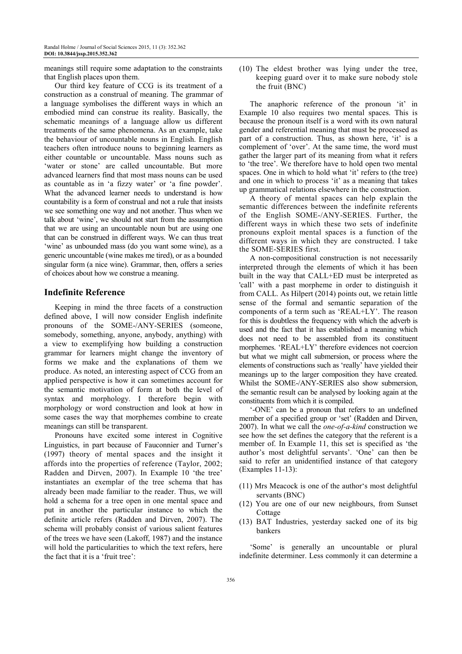meanings still require some adaptation to the constraints that English places upon them.

Our third key feature of CCG is its treatment of a construction as a construal of meaning. The grammar of a language symbolises the different ways in which an embodied mind can construe its reality. Basically, the schematic meanings of a language allow us different treatments of the same phenomena. As an example, take the behaviour of uncountable nouns in English. English teachers often introduce nouns to beginning learners as either countable or uncountable. Mass nouns such as 'water or stone' are called uncountable. But more advanced learners find that most mass nouns can be used as countable as in 'a fizzy water' or 'a fine powder'. What the advanced learner needs to understand is how countability is a form of construal and not a rule that insists we see something one way and not another. Thus when we talk about 'wine', we should not start from the assumption that we are using an uncountable noun but are using one that can be construed in different ways. We can thus treat 'wine' as unbounded mass (do you want some wine), as a generic uncountable (wine makes me tired), or as a bounded singular form (a nice wine). Grammar, then, offers a series of choices about how we construe a meaning.

### **Indefinite Reference**

Keeping in mind the three facets of a construction defined above, I will now consider English indefinite pronouns of the SOME-/ANY-SERIES (someone, somebody, something, anyone, anybody, anything) with a view to exemplifying how building a construction grammar for learners might change the inventory of forms we make and the explanations of them we produce. As noted, an interesting aspect of CCG from an applied perspective is how it can sometimes account for the semantic motivation of form at both the level of syntax and morphology. I therefore begin with morphology or word construction and look at how in some cases the way that morphemes combine to create meanings can still be transparent.

Pronouns have excited some interest in Cognitive Linguistics, in part because of Fauconnier and Turner's (1997) theory of mental spaces and the insight it affords into the properties of reference (Taylor, 2002; Radden and Dirven, 2007). In Example 10 'the tree' instantiates an exemplar of the tree schema that has already been made familiar to the reader. Thus, we will hold a schema for a tree open in one mental space and put in another the particular instance to which the definite article refers (Radden and Dirven, 2007). The schema will probably consist of various salient features of the trees we have seen (Lakoff, 1987) and the instance will hold the particularities to which the text refers, here the fact that it is a 'fruit tree':

(10) The eldest brother was lying under the tree, keeping guard over it to make sure nobody stole the fruit (BNC)

The anaphoric reference of the pronoun 'it' in Example 10 also requires two mental spaces. This is because the pronoun itself is a word with its own natural gender and referential meaning that must be processed as part of a construction. Thus, as shown here, 'it' is a complement of 'over'. At the same time, the word must gather the larger part of its meaning from what it refers to 'the tree'. We therefore have to hold open two mental spaces. One in which to hold what 'it' refers to (the tree) and one in which to process 'it' as a meaning that takes up grammatical relations elsewhere in the construction.

A theory of mental spaces can help explain the semantic differences between the indefinite referents of the English SOME-/ANY-SERIES. Further, the different ways in which these two sets of indefinite pronouns exploit mental spaces is a function of the different ways in which they are constructed. I take the SOME-SERIES first.

A non-compositional construction is not necessarily interpreted through the elements of which it has been built in the way that CALL+ED must be interpreted as 'call' with a past morpheme in order to distinguish it from CALL. As Hilpert (2014) points out, we retain little sense of the formal and semantic separation of the components of a term such as 'REAL+LY'. The reason for this is doubtless the frequency with which the adverb is used and the fact that it has established a meaning which does not need to be assembled from its constituent morphemes. 'REAL+LY' therefore evidences not coercion but what we might call submersion, or process where the elements of constructions such as 'really' have yielded their meanings up to the larger composition they have created. Whilst the SOME-/ANY-SERIES also show submersion, the semantic result can be analysed by looking again at the constituents from which it is compiled.

'-ONE' can be a pronoun that refers to an undefined member of a specified group or 'set' (Radden and Dirven, 2007). In what we call the *one-of-a-kind* construction we see how the set defines the category that the referent is a member of. In Example 11, this set is specified as 'the author's most delightful servants'. 'One' can then be said to refer an unidentified instance of that category (Examples 11-13):

- (11) Mrs Meacock is one of the author's most delightful servants (BNC)
- (12) You are one of our new neighbours, from Sunset Cottage
- (13) BAT Industries, yesterday sacked one of its big bankers

'Some' is generally an uncountable or plural indefinite determiner. Less commonly it can determine a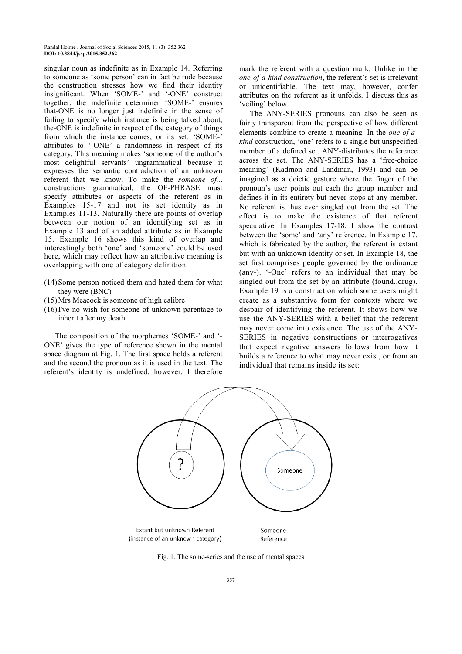singular noun as indefinite as in Example 14. Referring to someone as 'some person' can in fact be rude because the construction stresses how we find their identity insignificant. When 'SOME-' and '-ONE' construct together, the indefinite determiner 'SOME-' ensures that-ONE is no longer just indefinite in the sense of failing to specify which instance is being talked about, the-ONE is indefinite in respect of the category of things from which the instance comes, or its set. 'SOME-' attributes to '-ONE' a randomness in respect of its category. This meaning makes 'someone of the author's most delightful servants' ungrammatical because it expresses the semantic contradiction of an unknown referent that we know. To make the *someone of..*. constructions grammatical, the OF-PHRASE must specify attributes or aspects of the referent as in Examples 15-17 and not its set identity as in Examples 11-13. Naturally there are points of overlap between our notion of an identifying set as in Example 13 and of an added attribute as in Example 15. Example 16 shows this kind of overlap and interestingly both 'one' and 'someone' could be used here, which may reflect how an attributive meaning is overlapping with one of category definition.

- (14) Some person noticed them and hated them for what they were (BNC)
- (15) Mrs Meacock is someone of high calibre
- (16) I've no wish for someone of unknown parentage to inherit after my death

The composition of the morphemes 'SOME-' and '- ONE' gives the type of reference shown in the mental space diagram at Fig. 1. The first space holds a referent and the second the pronoun as it is used in the text. The referent's identity is undefined, however. I therefore

mark the referent with a question mark. Unlike in the *one-of-a-kind construction*, the referent's set is irrelevant or unidentifiable. The text may, however, confer attributes on the referent as it unfolds. I discuss this as 'veiling' below.

The ANY-SERIES pronouns can also be seen as fairly transparent from the perspective of how different elements combine to create a meaning. In the *one-of-akind* construction, 'one' refers to a single but unspecified member of a defined set. ANY-distributes the reference across the set. The ANY-SERIES has a 'free-choice meaning' (Kadmon and Landman, 1993) and can be imagined as a deictic gesture where the finger of the pronoun's user points out each the group member and defines it in its entirety but never stops at any member. No referent is thus ever singled out from the set. The effect is to make the existence of that referent speculative. In Examples 17-18, I show the contrast between the 'some' and 'any' reference. In Example 17, which is fabricated by the author, the referent is extant but with an unknown identity or set. In Example 18, the set first comprises people governed by the ordinance (any-). '-One' refers to an individual that may be singled out from the set by an attribute (found..drug). Example 19 is a construction which some users might create as a substantive form for contexts where we despair of identifying the referent. It shows how we use the ANY-SERIES with a belief that the referent may never come into existence. The use of the ANY-SERIES in negative constructions or interrogatives that expect negative answers follows from how it builds a reference to what may never exist, or from an individual that remains inside its set:



Fig. 1. The some-series and the use of mental spaces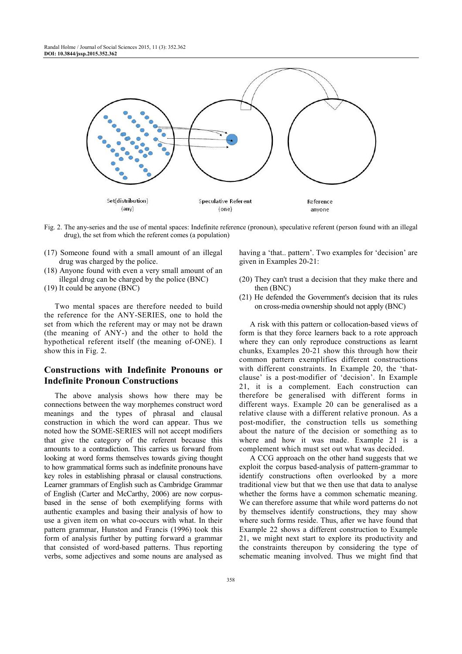

Fig. 2. The any-series and the use of mental spaces: Indefinite reference (pronoun), speculative referent (person found with an illegal drug), the set from which the referent comes (a population)

- (17) Someone found with a small amount of an illegal drug was charged by the police.
- (18) Anyone found with even a very small amount of an illegal drug can be charged by the police (BNC)
- (19) It could be anyone (BNC)

Two mental spaces are therefore needed to build the reference for the ANY-SERIES, one to hold the set from which the referent may or may not be drawn (the meaning of ANY-) and the other to hold the hypothetical referent itself (the meaning of-ONE). I show this in Fig. 2.

## **Constructions with Indefinite Pronouns or Indefinite Pronoun Constructions**

The above analysis shows how there may be connections between the way morphemes construct word meanings and the types of phrasal and clausal construction in which the word can appear. Thus we noted how the SOME-SERIES will not accept modifiers that give the category of the referent because this amounts to a contradiction. This carries us forward from looking at word forms themselves towards giving thought to how grammatical forms such as indefinite pronouns have key roles in establishing phrasal or clausal constructions. Learner grammars of English such as Cambridge Grammar of English (Carter and McCarthy, 2006) are now corpusbased in the sense of both exemplifying forms with authentic examples and basing their analysis of how to use a given item on what co-occurs with what. In their pattern grammar, Hunston and Francis (1996) took this form of analysis further by putting forward a grammar that consisted of word-based patterns. Thus reporting verbs, some adjectives and some nouns are analysed as

having a 'that... pattern'. Two examples for 'decision' are given in Examples 20-21:

- (20) They can't trust a decision that they make there and then (BNC)
- (21) He defended the Government's decision that its rules on cross-media ownership should not apply (BNC)

A risk with this pattern or collocation-based views of form is that they force learners back to a rote approach where they can only reproduce constructions as learnt chunks, Examples 20-21 show this through how their common pattern exemplifies different constructions with different constraints. In Example 20, the 'thatclause' is a post-modifier of 'decision'. In Example 21, it is a complement. Each construction can therefore be generalised with different forms in different ways. Example 20 can be generalised as a relative clause with a different relative pronoun. As a post-modifier, the construction tells us something about the nature of the decision or something as to where and how it was made. Example 21 is a complement which must set out what was decided.

A CCG approach on the other hand suggests that we exploit the corpus based-analysis of pattern-grammar to identify constructions often overlooked by a more traditional view but that we then use that data to analyse whether the forms have a common schematic meaning. We can therefore assume that while word patterns do not by themselves identify constructions, they may show where such forms reside. Thus, after we have found that Example 22 shows a different construction to Example 21, we might next start to explore its productivity and the constraints thereupon by considering the type of schematic meaning involved. Thus we might find that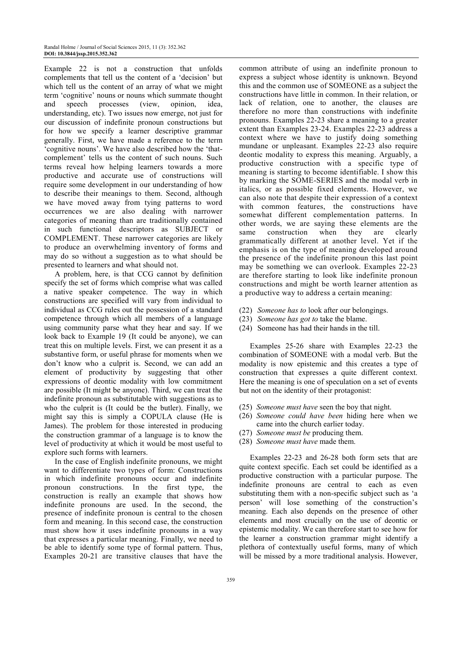Example 22 is not a construction that unfolds complements that tell us the content of a 'decision' but which tell us the content of an array of what we might term 'cognitive' nouns or nouns which summate thought and speech processes (view, opinion, idea, understanding, etc). Two issues now emerge, not just for our discussion of indefinite pronoun constructions but for how we specify a learner descriptive grammar generally. First, we have made a reference to the term 'cognitive nouns'. We have also described how the 'thatcomplement' tells us the content of such nouns. Such terms reveal how helping learners towards a more productive and accurate use of constructions will require some development in our understanding of how to describe their meanings to them. Second, although we have moved away from tying patterns to word occurrences we are also dealing with narrower categories of meaning than are traditionally contained in such functional descriptors as SUBJECT or COMPLEMENT. These narrower categories are likely to produce an overwhelming inventory of forms and may do so without a suggestion as to what should be presented to learners and what should not.

A problem, here, is that CCG cannot by definition specify the set of forms which comprise what was called a native speaker competence. The way in which constructions are specified will vary from individual to individual as CCG rules out the possession of a standard competence through which all members of a language using community parse what they hear and say. If we look back to Example 19 (It could be anyone), we can treat this on multiple levels. First, we can present it as a substantive form, or useful phrase for moments when we don't know who a culprit is. Second, we can add an element of productivity by suggesting that other expressions of deontic modality with low commitment are possible (It might be anyone). Third, we can treat the indefinite pronoun as substitutable with suggestions as to who the culprit is (It could be the butler). Finally, we might say this is simply a COPULA clause (He is James). The problem for those interested in producing the construction grammar of a language is to know the level of productivity at which it would be most useful to explore such forms with learners.

In the case of English indefinite pronouns, we might want to differentiate two types of form: Constructions in which indefinite pronouns occur and indefinite pronoun constructions. In the first type, the construction is really an example that shows how indefinite pronouns are used. In the second, the presence of indefinite pronoun is central to the chosen form and meaning. In this second case, the construction must show how it uses indefinite pronouns in a way that expresses a particular meaning. Finally, we need to be able to identify some type of formal pattern. Thus, Examples 20-21 are transitive clauses that have the

common attribute of using an indefinite pronoun to express a subject whose identity is unknown. Beyond this and the common use of SOMEONE as a subject the constructions have little in common. In their relation, or lack of relation, one to another, the clauses are therefore no more than constructions with indefinite pronouns. Examples 22-23 share a meaning to a greater extent than Examples 23-24. Examples 22-23 address a context where we have to justify doing something mundane or unpleasant. Examples 22-23 also require deontic modality to express this meaning. Arguably, a productive construction with a specific type of meaning is starting to become identifiable. I show this by marking the SOME-SERIES and the modal verb in italics, or as possible fixed elements. However, we can also note that despite their expression of a context with common features, the constructions have somewhat different complementation patterns. In other words, we are saying these elements are the same construction when they are clearly grammatically different at another level. Yet if the emphasis is on the type of meaning developed around the presence of the indefinite pronoun this last point may be something we can overlook. Examples 22-23 are therefore starting to look like indefinite pronoun constructions and might be worth learner attention as a productive way to address a certain meaning:

- (22) *Someone has to* look after our belongings.
- (23) *Someone has got to* take the blame.
- (24) Someone has had their hands in the till.

Examples 25-26 share with Examples 22-23 the combination of SOMEONE with a modal verb. But the modality is now epistemic and this creates a type of construction that expresses a quite different context. Here the meaning is one of speculation on a set of events but not on the identity of their protagonist:

- (25) *Someone must have* seen the boy that night.
- (26) *Someone could have been* hiding here when we came into the church earlier today.
- (27) *Someone must be* producing them.
- (28) *Someone must have* made them.

Examples 22-23 and 26-28 both form sets that are quite context specific. Each set could be identified as a productive construction with a particular purpose. The indefinite pronouns are central to each as even substituting them with a non-specific subject such as 'a person' will lose something of the construction's meaning. Each also depends on the presence of other elements and most crucially on the use of deontic or epistemic modality. We can therefore start to see how for the learner a construction grammar might identify a plethora of contextually useful forms, many of which will be missed by a more traditional analysis. However,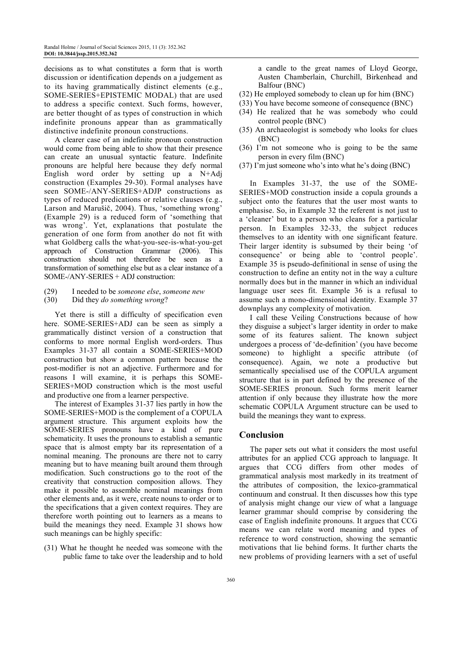decisions as to what constitutes a form that is worth discussion or identification depends on a judgement as to its having grammatically distinct elements (e.g., SOME-SERIES+EPISTEMIC MODAL) that are used to address a specific context. Such forms, however, are better thought of as types of construction in which indefinite pronouns appear than as grammatically distinctive indefinite pronoun constructions.

A clearer case of an indefinite pronoun construction would come from being able to show that their presence can create an unusual syntactic feature. Indefinite pronouns are helpful here because they defy normal English word order by setting up a N+Adj construction (Examples 29-30). Formal analyses have seen SOME-/ANY-SERIES+ADJP constructions as types of reduced predications or relative clauses (e.g., Larson and Marušič, 2004). Thus, 'something wrong' (Example 29) is a reduced form of 'something that was wrong'. Yet, explanations that postulate the generation of one form from another do not fit with what Goldberg calls the what-you-see-is-what-you-get approach of Construction Grammar (2006). This construction should not therefore be seen as a transformation of something else but as a clear instance of a SOME-/ANY-SERIES + ADJ construction:

- (29) I needed to be *someone else*, *someone new*
- (30) Did they *do something wrong*?

Yet there is still a difficulty of specification even here. SOME-SERIES+ADJ can be seen as simply a grammatically distinct version of a construction that conforms to more normal English word-orders. Thus Examples 31-37 all contain a SOME-SERIES+MOD construction but show a common pattern because the post-modifier is not an adjective. Furthermore and for reasons I will examine, it is perhaps this SOME-SERIES+MOD construction which is the most useful and productive one from a learner perspective.

The interest of Examples 31-37 lies partly in how the SOME-SERIES+MOD is the complement of a COPULA argument structure. This argument exploits how the SOME-SERIES pronouns have a kind of pure schematicity. It uses the pronouns to establish a semantic space that is almost empty bar its representation of a nominal meaning. The pronouns are there not to carry meaning but to have meaning built around them through modification. Such constructions go to the root of the creativity that construction composition allows. They make it possible to assemble nominal meanings from other elements and, as it were, create nouns to order or to the specifications that a given context requires. They are therefore worth pointing out to learners as a means to build the meanings they need. Example 31 shows how such meanings can be highly specific:

(31) What he thought he needed was someone with the public fame to take over the leadership and to hold a candle to the great names of Lloyd George, Austen Chamberlain, Churchill, Birkenhead and Balfour (BNC)

- (32) He employed somebody to clean up for him (BNC)
- (33) You have become someone of consequence (BNC)
- (34) He realized that he was somebody who could control people (BNC)
- (35) An archaeologist is somebody who looks for clues (BNC)
- (36) I'm not someone who is going to be the same person in every film (BNC)
- (37) I'm just someone who's into what he's doing (BNC)

In Examples 31-37, the use of the SOME-SERIES+MOD construction inside a copula grounds a subject onto the features that the user most wants to emphasise. So, in Example 32 the referent is not just to a 'cleaner' but to a person who cleans for a particular person. In Examples 32-33, the subject reduces themselves to an identity with one significant feature. Their larger identity is subsumed by their being 'of consequence' or being able to 'control people'. Example 35 is pseudo-definitional in sense of using the construction to define an entity not in the way a culture normally does but in the manner in which an individual language user sees fit. Example 36 is a refusal to assume such a mono-dimensional identity. Example 37 downplays any complexity of motivation.

I call these Veiling Constructions because of how they disguise a subject's larger identity in order to make some of its features salient. The known subject undergoes a process of 'de-definition' (you have become someone) to highlight a specific attribute (of consequence). Again, we note a productive but semantically specialised use of the COPULA argument structure that is in part defined by the presence of the SOME-SERIES pronoun. Such forms merit learner attention if only because they illustrate how the more schematic COPULA Argument structure can be used to build the meanings they want to express.

#### **Conclusion**

The paper sets out what it considers the most useful attributes for an applied CCG approach to language. It argues that CCG differs from other modes of grammatical analysis most markedly in its treatment of the attributes of composition, the lexico-grammatical continuum and construal. It then discusses how this type of analysis might change our view of what a language learner grammar should comprise by considering the case of English indefinite pronouns. It argues that CCG means we can relate word meaning and types of reference to word construction, showing the semantic motivations that lie behind forms. It further charts the new problems of providing learners with a set of useful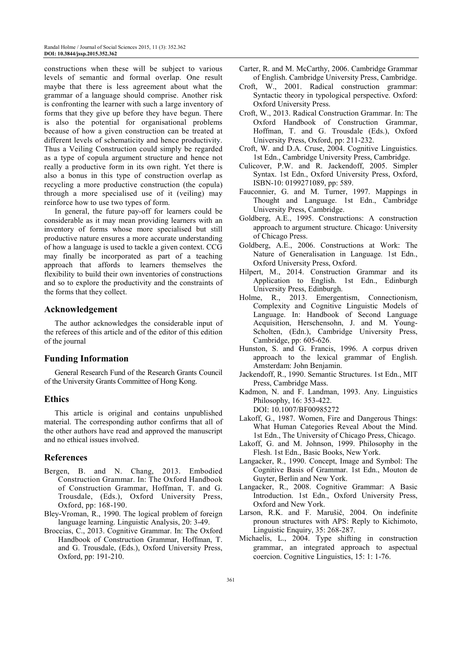constructions when these will be subject to various levels of semantic and formal overlap. One result maybe that there is less agreement about what the grammar of a language should comprise. Another risk is confronting the learner with such a large inventory of forms that they give up before they have begun. There is also the potential for organisational problems because of how a given construction can be treated at different levels of schematicity and hence productivity. Thus a Veiling Construction could simply be regarded as a type of copula argument structure and hence not really a productive form in its own right. Yet there is also a bonus in this type of construction overlap as recycling a more productive construction (the copula) through a more specialised use of it (veiling) may reinforce how to use two types of form.

In general, the future pay-off for learners could be considerable as it may mean providing learners with an inventory of forms whose more specialised but still productive nature ensures a more accurate understanding of how a language is used to tackle a given context. CCG may finally be incorporated as part of a teaching approach that affords to learners themselves the flexibility to build their own inventories of constructions and so to explore the productivity and the constraints of the forms that they collect.

#### **Acknowledgement**

The author acknowledges the considerable input of the referees of this article and of the editor of this edition of the journal

#### **Funding Information**

General Research Fund of the Research Grants Council of the University Grants Committee of Hong Kong.

#### **Ethics**

This article is original and contains unpublished material. The corresponding author confirms that all of the other authors have read and approved the manuscript and no ethical issues involved.

#### **References**

- Bergen, B. and N. Chang, 2013. Embodied Construction Grammar. In: The Oxford Handbook of Construction Grammar, Hoffman, T. and G. Trousdale, (Eds.), Oxford University Press, Oxford, pp: 168-190.
- Bley-Vroman, R., 1990. The logical problem of foreign language learning. Linguistic Analysis, 20: 3-49.
- Broccias, C., 2013. Cognitive Grammar. In: The Oxford Handbook of Construction Grammar, Hoffman, T. and G. Trousdale, (Eds.), Oxford University Press, Oxford, pp: 191-210.
- Carter, R. and M. McCarthy, 2006. Cambridge Grammar of English. Cambridge University Press, Cambridge.
- Croft, W., 2001. Radical construction grammar: Syntactic theory in typological perspective. Oxford: Oxford University Press.
- Croft, W., 2013. Radical Construction Grammar. In: The Oxford Handbook of Construction Grammar, Hoffman, T. and G. Trousdale (Eds.), Oxford University Press, Oxford, pp: 211-232.
- Croft, W. and D.A. Cruse, 2004. Cognitive Linguistics. 1st Edn., Cambridge University Press, Cambridge.
- Culicover, P.W. and R. Jackendoff, 2005. Simpler Syntax. 1st Edn., Oxford University Press, Oxford, ISBN-10: 0199271089, pp: 589.
- Fauconnier, G. and M. Turner, 1997. Mappings in Thought and Language. 1st Edn., Cambridge University Press, Cambridge.
- Goldberg, A.E., 1995. Constructions: A construction approach to argument structure. Chicago: University of Chicago Press.
- Goldberg, A.E., 2006. Constructions at Work: The Nature of Generalisation in Language*.* 1st Edn., Oxford University Press, Oxford.
- Hilpert, M., 2014. Construction Grammar and its Application to English. 1st Edn., Edinburgh University Press, Edinburgh.
- Holme, R., 2013. Emergentism, Connectionism, Complexity and Cognitive Linguistic Models of Language. In: Handbook of Second Language Acquisition, Herschensohn, J. and M. Young-Scholten, (Edn.), Cambridge University Press, Cambridge, pp: 605-626.
- Hunston, S. and G. Francis, 1996. A corpus driven approach to the lexical grammar of English. Amsterdam: John Benjamin.
- Jackendoff, R., 1990. Semantic Structures. 1st Edn., MIT Press, Cambridge Mass.
- Kadmon, N. and F. Landman, 1993. Any. Linguistics Philosophy, 16: 353-422. DOI: 10.1007/BF00985272
- Lakoff, G., 1987. Women, Fire and Dangerous Things: What Human Categories Reveal About the Mind. 1st Edn., The University of Chicago Press, Chicago.
- Lakoff, G. and M. Johnson, 1999. Philosophy in the Flesh. 1st Edn., Basic Books, New York.
- Langacker, R., 1990. Concept, Image and Symbol: The Cognitive Basis of Grammar. 1st Edn., Mouton de Guyter, Berlin and New York.
- Langacker, R., 2008. Cognitive Grammar: A Basic Introduction. 1st Edn., Oxford University Press, Oxford and New York.
- Larson, R.K. and F. Marušič, 2004. On indefinite pronoun structures with APS: Reply to Kichimoto, Linguistic Enquiry, 35: 268-287.
- Michaelis, L., 2004. Type shifting in construction grammar, an integrated approach to aspectual coercion. Cognitive Linguistics, 15: 1: 1-76.